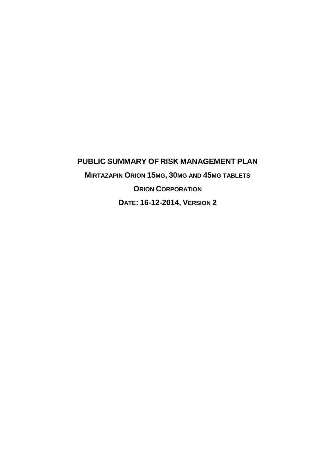# **PUBLIC SUMMARY OF RISK MANAGEMENT PLAN MIRTAZAPIN ORION 15MG, 30MG AND 45MG TABLETS ORION CORPORATION DATE: 16-12-2014, VERSION 2**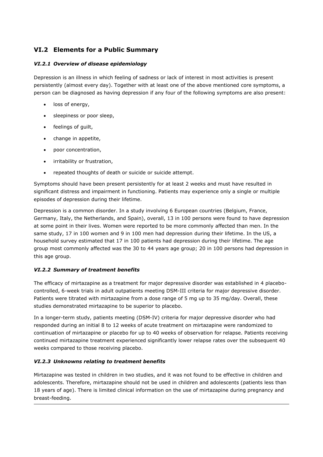## **VI.2 Elements for a Public Summary**

## *VI.2.1 Overview of disease epidemiology*

Depression is an illness in which feeling of sadness or lack of interest in most activities is present persistently (almost every day). Together with at least one of the above mentioned core symptoms, a person can be diagnosed as having depression if any four of the following symptoms are also present:

- loss of energy,
- sleepiness or poor sleep,
- feelings of guilt,
- change in appetite,
- poor concentration,
- irritability or frustration,
- repeated thoughts of death or suicide or suicide attempt.

Symptoms should have been present persistently for at least 2 weeks and must have resulted in significant distress and impairment in functioning. Patients may experience only a single or multiple episodes of depression during their lifetime.

Depression is a common disorder. In a study involving 6 European countries (Belgium, France, Germany, Italy, the Netherlands, and Spain), overall, 13 in 100 persons were found to have depression at some point in their lives. Women were reported to be more commonly affected than men. In the same study, 17 in 100 women and 9 in 100 men had depression during their lifetime. In the US, a household survey estimated that 17 in 100 patients had depression during their lifetime. The age group most commonly affected was the 30 to 44 years age group; 20 in 100 persons had depression in this age group.

## *VI.2.2 Summary of treatment benefits*

The efficacy of mirtazapine as a treatment for major depressive disorder was established in 4 placebocontrolled, 6-week trials in adult outpatients meeting DSM-III criteria for major depressive disorder. Patients were titrated with mirtazapine from a dose range of 5 mg up to 35 mg/day. Overall, these studies demonstrated mirtazapine to be superior to placebo.

In a longer-term study, patients meeting (DSM-IV) criteria for major depressive disorder who had responded during an initial 8 to 12 weeks of acute treatment on mirtazapine were randomized to continuation of mirtazapine or placebo for up to 40 weeks of observation for relapse. Patients receiving continued mirtazapine treatment experienced significantly lower relapse rates over the subsequent 40 weeks compared to those receiving placebo.

## *VI.2.3 Unknowns relating to treatment benefits*

Mirtazapine was tested in children in two studies, and it was not found to be effective in children and adolescents. Therefore, mirtazapine should not be used in children and adolescents (patients less than 18 years of age). There is limited clinical information on the use of mirtazapine during pregnancy and breast-feeding.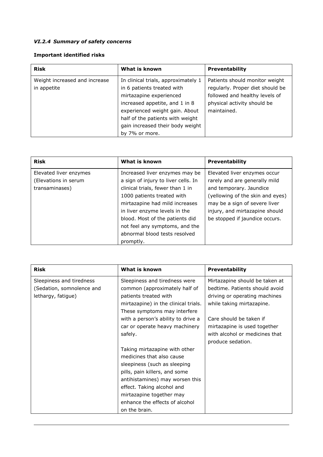## *VI.2.4 Summary of safety concerns*

## **Important identified risks**

| <b>Risk</b>                   | What is known                                                         | <b>Preventability</b>            |
|-------------------------------|-----------------------------------------------------------------------|----------------------------------|
| Weight increased and increase | Patients should monitor weight<br>In clinical trials, approximately 1 |                                  |
| in appetite                   | in 6 patients treated with                                            | regularly. Proper diet should be |
|                               | mirtazapine experienced                                               | followed and healthy levels of   |
|                               | increased appetite, and 1 in 8                                        | physical activity should be      |
|                               | experienced weight gain. About                                        | maintained.                      |
|                               | half of the patients with weight                                      |                                  |
|                               | gain increased their body weight                                      |                                  |
|                               | by 7% or more.                                                        |                                  |

| <b>Risk</b>            | What is known                                                        | <b>Preventability</b>            |
|------------------------|----------------------------------------------------------------------|----------------------------------|
| Elevated liver enzymes | Increased liver enzymes may be<br>Elevated liver enzymes occur       |                                  |
| (Elevations in serum   | rarely and are generally mild<br>a sign of injury to liver cells. In |                                  |
| transaminases)         | clinical trials, fewer than 1 in                                     | and temporary. Jaundice          |
|                        | 1000 patients treated with                                           | (yellowing of the skin and eyes) |
|                        | mirtazapine had mild increases                                       | may be a sign of severe liver    |
|                        | in liver enzyme levels in the                                        | injury, and mirtazapine should   |
|                        | blood. Most of the patients did                                      | be stopped if jaundice occurs.   |
|                        | not feel any symptoms, and the                                       |                                  |
|                        | abnormal blood tests resolved                                        |                                  |
|                        | promptly.                                                            |                                  |

| Risk                                                                        | What is known                                                                                                                                                                                                                                                               | Preventability                                                                                                                 |
|-----------------------------------------------------------------------------|-----------------------------------------------------------------------------------------------------------------------------------------------------------------------------------------------------------------------------------------------------------------------------|--------------------------------------------------------------------------------------------------------------------------------|
| Sleepiness and tiredness<br>(Sedation, somnolence and<br>lethargy, fatigue) | Sleepiness and tiredness were<br>common (approximately half of<br>patients treated with<br>mirtazapine) in the clinical trials.<br>These symptoms may interfere                                                                                                             | Mirtazapine should be taken at<br>bedtime. Patients should avoid<br>driving or operating machines<br>while taking mirtazapine. |
|                                                                             | with a person's ability to drive a<br>car or operate heavy machinery<br>safely.                                                                                                                                                                                             | Care should be taken if<br>mirtazapine is used together<br>with alcohol or medicines that<br>produce sedation.                 |
|                                                                             | Taking mirtazapine with other<br>medicines that also cause<br>sleepiness (such as sleeping<br>pills, pain killers, and some<br>antihistamines) may worsen this<br>effect. Taking alcohol and<br>mirtazapine together may<br>enhance the effects of alcohol<br>on the brain. |                                                                                                                                |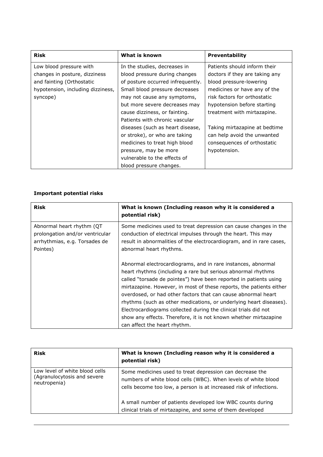| <b>Risk</b>                       | What is known                     | <b>Preventability</b>          |
|-----------------------------------|-----------------------------------|--------------------------------|
| Low blood pressure with           | In the studies, decreases in      | Patients should inform their   |
| changes in posture, dizziness     | blood pressure during changes     | doctors if they are taking any |
| and fainting (Orthostatic         | of posture occurred infrequently. | blood pressure-lowering        |
| hypotension, including dizziness, | Small blood pressure decreases    | medicines or have any of the   |
| syncope)                          | may not cause any symptoms,       | risk factors for orthostatic   |
|                                   | but more severe decreases may     | hypotension before starting    |
|                                   | cause dizziness, or fainting.     | treatment with mirtazapine.    |
|                                   | Patients with chronic vascular    |                                |
|                                   | diseases (such as heart disease,  | Taking mirtazapine at bedtime  |
|                                   | or stroke), or who are taking     | can help avoid the unwanted    |
|                                   | medicines to treat high blood     | consequences of orthostatic    |
|                                   | pressure, may be more             | hypotension.                   |
|                                   | vulnerable to the effects of      |                                |
|                                   | blood pressure changes.           |                                |

## **Important potential risks**

| <b>Risk</b>                                                                                                | What is known (Including reason why it is considered a<br>potential risk)                                                                                                                                                                                                                                                                                                                                                                                                                                                                                                              |
|------------------------------------------------------------------------------------------------------------|----------------------------------------------------------------------------------------------------------------------------------------------------------------------------------------------------------------------------------------------------------------------------------------------------------------------------------------------------------------------------------------------------------------------------------------------------------------------------------------------------------------------------------------------------------------------------------------|
| Abnormal heart rhythm (QT)<br>prolongation and/or ventricular<br>arrhythmias, e.g. Torsades de<br>Pointes) | Some medicines used to treat depression can cause changes in the<br>conduction of electrical impulses through the heart. This may<br>result in abnormalities of the electrocardiogram, and in rare cases,<br>abnormal heart rhythms.                                                                                                                                                                                                                                                                                                                                                   |
|                                                                                                            | Abnormal electrocardiograms, and in rare instances, abnormal<br>heart rhythms (including a rare but serious abnormal rhythms<br>called "torsade de pointes") have been reported in patients using<br>mirtazapine. However, in most of these reports, the patients either<br>overdosed, or had other factors that can cause abnormal heart<br>rhythms (such as other medications, or underlying heart diseases).<br>Electrocardiograms collected during the clinical trials did not<br>show any effects. Therefore, it is not known whether mirtazapine<br>can affect the heart rhythm. |

| <b>Risk</b>                                                                   | What is known (Including reason why it is considered a<br>potential risk)                                                                                                                                                                                      |
|-------------------------------------------------------------------------------|----------------------------------------------------------------------------------------------------------------------------------------------------------------------------------------------------------------------------------------------------------------|
| Low level of white blood cells<br>(Agranulocytosis and severe<br>neutropenia) | Some medicines used to treat depression can decrease the<br>numbers of white blood cells (WBC). When levels of white blood<br>cells become too low, a person is at increased risk of infections.<br>A small number of patients developed low WBC counts during |
|                                                                               | clinical trials of mirtazapine, and some of them developed                                                                                                                                                                                                     |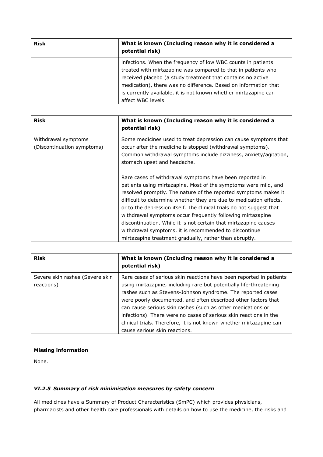| <b>Risk</b> | What is known (Including reason why it is considered a<br>potential risk)                                                                                                                                                                                                                                                                                |  |
|-------------|----------------------------------------------------------------------------------------------------------------------------------------------------------------------------------------------------------------------------------------------------------------------------------------------------------------------------------------------------------|--|
|             | infections. When the frequency of low WBC counts in patients<br>treated with mirtazapine was compared to that in patients who<br>received placebo (a study treatment that contains no active<br>medication), there was no difference. Based on information that<br>is currently available, it is not known whether mirtazapine can<br>affect WBC levels. |  |

| <b>Risk</b>                                       | What is known (Including reason why it is considered a<br>potential risk)                                                                                                                                                                                                                                                                                                                                                                                                                                                                                                                        |
|---------------------------------------------------|--------------------------------------------------------------------------------------------------------------------------------------------------------------------------------------------------------------------------------------------------------------------------------------------------------------------------------------------------------------------------------------------------------------------------------------------------------------------------------------------------------------------------------------------------------------------------------------------------|
| Withdrawal symptoms<br>(Discontinuation symptoms) | Some medicines used to treat depression can cause symptoms that<br>occur after the medicine is stopped (withdrawal symptoms).<br>Common withdrawal symptoms include dizziness, anxiety/agitation,<br>stomach upset and headache.                                                                                                                                                                                                                                                                                                                                                                 |
|                                                   | Rare cases of withdrawal symptoms have been reported in<br>patients using mirtazapine. Most of the symptoms were mild, and<br>resolved promptly. The nature of the reported symptoms makes it<br>difficult to determine whether they are due to medication effects,<br>or to the depression itself. The clinical trials do not suggest that<br>withdrawal symptoms occur frequently following mirtazapine<br>discontinuation. While it is not certain that mirtazapine causes<br>withdrawal symptoms, it is recommended to discontinue<br>mirtazapine treatment gradually, rather than abruptly. |

| <b>Risk</b>                                   | What is known (Including reason why it is considered a<br>potential risk)                                                                                                                                                                                                                                                                                                                                                                                                                                              |
|-----------------------------------------------|------------------------------------------------------------------------------------------------------------------------------------------------------------------------------------------------------------------------------------------------------------------------------------------------------------------------------------------------------------------------------------------------------------------------------------------------------------------------------------------------------------------------|
| Severe skin rashes (Severe skin<br>reactions) | Rare cases of serious skin reactions have been reported in patients<br>using mirtazapine, including rare but potentially life-threatening<br>rashes such as Stevens-Johnson syndrome. The reported cases<br>were poorly documented, and often described other factors that<br>can cause serious skin rashes (such as other medications or<br>infections). There were no cases of serious skin reactions in the<br>clinical trials. Therefore, it is not known whether mirtazapine can<br>cause serious skin reactions. |

## **Missing information**

None.

## *VI.2.5 Summary of risk minimisation measures by safety concern*

All medicines have a Summary of Product Characteristics (SmPC) which provides physicians, pharmacists and other health care professionals with details on how to use the medicine, the risks and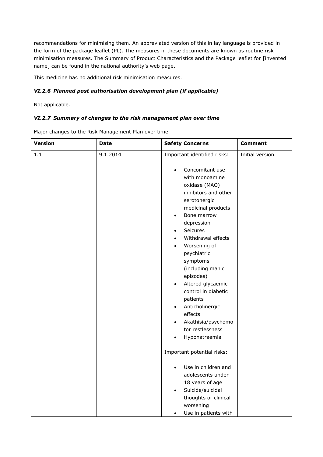recommendations for minimising them. An abbreviated version of this in lay language is provided in the form of the package leaflet (PL). The measures in these documents are known as routine risk minimisation measures. The Summary of Product Characteristics and the Package leaflet for [invented name] can be found in the national authority's web page.

This medicine has no additional risk minimisation measures.

## *VI.2.6 Planned post authorisation development plan (if applicable)*

Not applicable.

#### *VI.2.7 Summary of changes to the risk management plan over time*

Major changes to the Risk Management Plan over time

| <b>Version</b> | <b>Date</b> | <b>Safety Concerns</b>                                                                                                                                                                                                                                                                                                                                                                                                                                                                                  | <b>Comment</b>   |
|----------------|-------------|---------------------------------------------------------------------------------------------------------------------------------------------------------------------------------------------------------------------------------------------------------------------------------------------------------------------------------------------------------------------------------------------------------------------------------------------------------------------------------------------------------|------------------|
| 1.1            | 9.1.2014    | Important identified risks:                                                                                                                                                                                                                                                                                                                                                                                                                                                                             | Initial version. |
|                |             | Concomitant use<br>with monoamine<br>oxidase (MAO)<br>inhibitors and other<br>serotonergic<br>medicinal products<br>Bone marrow<br>$\bullet$<br>depression<br>Seizures<br>$\bullet$<br>Withdrawal effects<br>$\bullet$<br>Worsening of<br>$\bullet$<br>psychiatric<br>symptoms<br>(including manic<br>episodes)<br>Altered glycaemic<br>$\bullet$<br>control in diabetic<br>patients<br>Anticholinergic<br>$\bullet$<br>effects<br>Akathisia/psychomo<br>$\bullet$<br>tor restlessness<br>Hyponatraemia |                  |
|                |             | Important potential risks:                                                                                                                                                                                                                                                                                                                                                                                                                                                                              |                  |
|                |             | Use in children and<br>adolescents under<br>18 years of age<br>Suicide/suicidal<br>$\bullet$<br>thoughts or clinical<br>worsening<br>Use in patients with<br>$\bullet$                                                                                                                                                                                                                                                                                                                                  |                  |